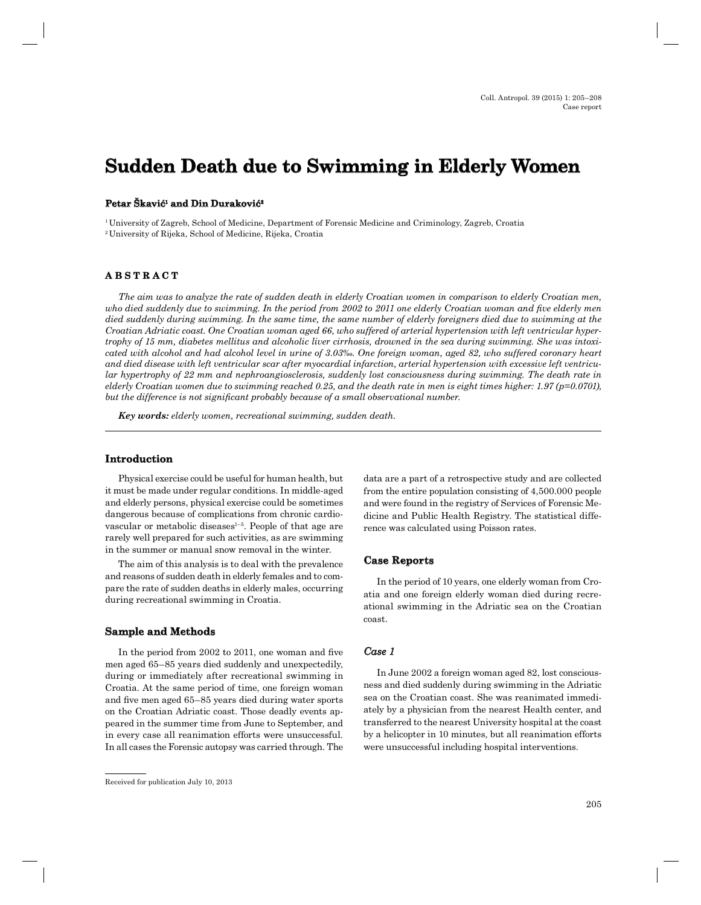# **Sudden Death due to Swimming in Elderly Women in Elderly Women**

## Petar Skavić<sup>1</sup> and Din Duraković<del><sup>2</sup></del>

1 University of Zagreb, School of Medicine, Department of Forensic Medicine and Criminology, Zagreb, Croatia 2 University of Rijeka, School of Medicine, Rijeka, Croatia

# **A B S T R A C T ABSTRACT**

*The aim was to analyze the rate of sudden death in elderly Croatian women in comparison to elderly Croatian men,*  who died suddenly due to swimming. In the period from 2002 to 2011 one elderly Croatian woman and five elderly men *died suddenly during swimming. In the same time, the same number of elderly foreigners died due to swimming at the Croatian Adriatic coast. One Croatian woman aged 66, who suffered of arterial hypertension with left ventricular hypertrophy of 15 mm, diabetes mellitus and alcoholic liver cirrhosis, drowned in the sea during swimming. She was intoxicated with alcohol and had alcohol level in urine of 3.03‰. One foreign woman, aged 82, who suffered coronary heart and died disease with left ventricular scar after myocardial infarction, arterial hypertension with excessive left ventricular hypertrophy of 22 mm and nephroangiosclerosis, suddenly lost consciousness during swimming. The death rate in elderly Croatian women due to swimming reached 0.25, and the death rate in men is eight times higher: 1.97 (p=0.0701), but the difference is not significant probably because of a small observational number.* 

*Key words: elderly women, recreational swimming, sudden death.*

# **Introduction**

Physical exercise could be useful for human health, but it must be made under regular conditions. In middle-aged and elderly persons, physical exercise could be sometimes dangerous because of complications from chronic cardiovascular or metabolic diseases $1-5$ . People of that age are rarely well prepared for such activities, as are swimming in the summer or manual snow removal in the winter.

The aim of this analysis is to deal with the prevalence and reasons of sudden death in elderly females and to compare the rate of sudden deaths in elderly males, occurring during recreational swimming in Croatia.

#### **Sample and Methods**

In the period from 2002 to 2011, one woman and five men aged 65–85 years died suddenly and unexpectedily, during or immediately after recreational swimming in Croatia. At the same period of time, one foreign woman and five men aged 65–85 years died during water sports on the Croatian Adriatic coast. Those deadly events appeared in the summer time from June to September, and in every case all reanimation efforts were unsuccessful. In all cases the Forensic autopsy was carried through. The

data are a part of a retrospective study and are collected from the entire population consisting of 4,500.000 people and were found in the registry of Services of Forensic Medicine and Public Health Registry. The statistical difference was calculated using Poisson rates.

#### **Case Reports**

In the period of 10 years, one elderly woman from Croatia and one foreign elderly woman died during recreational swimming in the Adriatic sea on the Croatian coast.

# *Case 1*

In June 2002 a foreign woman aged 82, lost consciousness and died suddenly during swimming in the Adriatic sea on the Croatian coast. She was reanimated immediately by a physician from the nearest Health center, and transferred to the nearest University hospital at the coast by a helicopter in 10 minutes, but all reanimation efforts were unsuccessful including hospital interventions.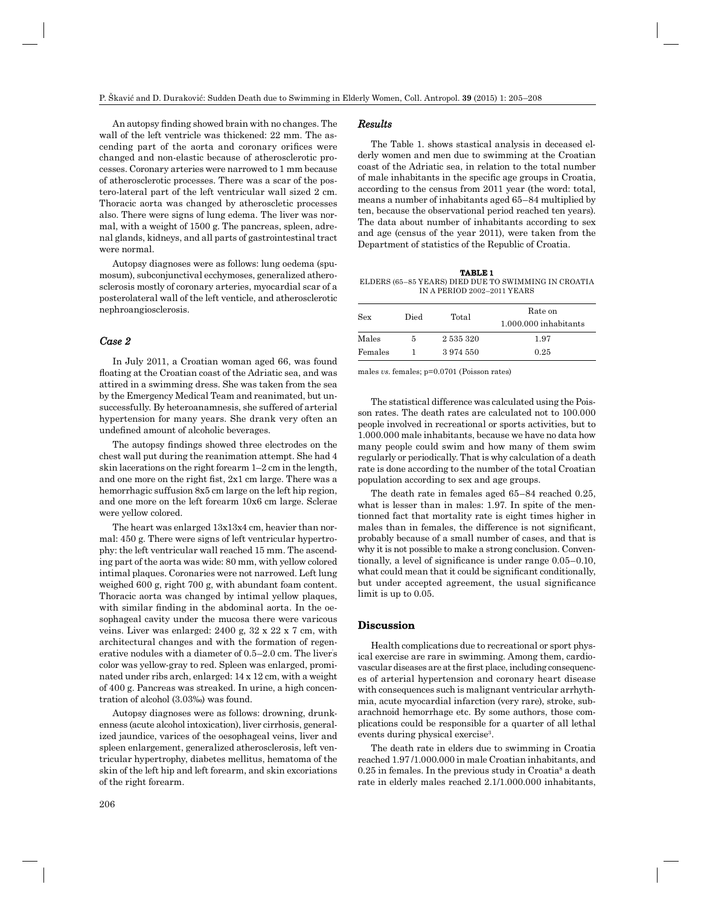An autopsy finding showed brain with no changes. The wall of the left ventricle was thickened: 22 mm. The ascending part of the aorta and coronary orifices were changed and non-elastic because of atherosclerotic processes. Coronary arteries were narrowed to 1 mm because of atherosclerotic processes. There was a scar of the postero-lateral part of the left ventricular wall sized 2 cm. Thoracic aorta was changed by atheroscletic processes also. There were signs of lung edema. The liver was normal, with a weight of 1500 g. The pancreas, spleen, adrenal glands, kidneys, and all parts of gastrointestinal tract were normal.

Autopsy diagnoses were as follows: lung oedema (spumosum), subconjunctival ecchymoses, generalized atherosclerosis mostly of coronary arteries, myocardial scar of a posterolateral wall of the left venticle, and atherosclerotic nephroangiosclerosis.

## *Case 2*

In July 2011, a Croatian woman aged 66, was found floating at the Croatian coast of the Adriatic sea, and was attired in a swimming dress. She was taken from the sea by the Emergency Medical Team and reanimated, but unsuccessfully. By heteroanamnesis, she suffered of arterial hypertension for many years. She drank very often an undefined amount of alcoholic beverages.

The autopsy findings showed three electrodes on the chest wall put during the reanimation attempt. She had 4 skin lacerations on the right forearm 1–2 cm in the length, and one more on the right fist,  $2x1$  cm large. There was a hemorrhagic suffusion 8x5 cm large on the left hip region, and one more on the left forearm 10x6 cm large. Sclerae were yellow colored.

The heart was enlarged 13x13x4 cm, heavier than normal: 450 g. There were signs of left ventricular hypertrophy: the left ventricular wall reached 15 mm. The ascending part of the aorta was wide: 80 mm, with yellow colored intimal plaques. Coronaries were not narrowed. Left lung weighed 600 g, right 700 g, with abundant foam content. Thoracic aorta was changed by intimal yellow plaques, with similar finding in the abdominal aorta. In the oesophageal cavity under the mucosa there were varicous veins. Liver was enlarged: 2400 g, 32 x 22 x 7 cm, with architectural changes and with the formation of regenerative nodules with a diameter of 0.5–2.0 cm. The liver' s color was yellow-gray to red. Spleen was enlarged, prominated under ribs arch, enlarged: 14 x 12 cm, with a weight of 400 g. Pancreas was streaked. In urine, a high concentration of alcohol (3.03‰) was found.

Autopsy diagnoses were as follows: drowning, drunkenness (acute alcohol intoxication), liver cirrhosis, generalized jaundice, varices of the oesophageal veins, liver and spleen enlargement, generalized atherosclerosis, left ventricular hypertrophy, diabetes mellitus, hematoma of the skin of the left hip and left forearm, and skin excoriations of the right forearm.

#### *Results*

The Table 1. shows stastical analysis in deceased elderly women and men due to swimming at the Croatian coast of the Adriatic sea, in relation to the total number of male inhabitants in the specific age groups in Croatia. according to the census from 2011 year (the word: total, means a number of inhabitants aged 65–84 multiplied by ten, because the observational period reached ten years). The data about number of inhabitants according to sex and age (census of the year 2011), were taken from the Department of statistics of the Republic of Croatia.

**TABLE 1** ELDERS (65–85 YEARS) DIED DUE TO SWIMMING IN CROATIA IN A PERIOD 2002–2011 YEARS

| <b>Sex</b> | Died | Total     | Rate on<br>1.000.000 inhabitants |
|------------|------|-----------|----------------------------------|
| Males      | 5    | 2 535 320 | 1.97                             |
| Females    |      | 3974550   | 0.25                             |

males *vs*. females; p=0.0701 (Poisson rates)

The statistical difference was calculated using the Poisson rates. The death rates are calculated not to 100.000 people involved in recreational or sports activities, but to 1.000.000 male inhabitants, because we have no data how many people could swim and how many of them swim regularly or periodically. That is why calculation of a death rate is done according to the number of the total Croatian population according to sex and age groups.

The death rate in females aged 65–84 reached 0.25, what is lesser than in males: 1.97. In spite of the mentionned fact that mortality rate is eight times higher in males than in females, the difference is not significant, probably because of a small number of cases, and that is why it is not possible to make a strong conclusion. Conventionally, a level of significance is under range  $0.05-0.10$ , what could mean that it could be significant conditionally, but under accepted agreement, the usual significance limit is up to 0.05.

#### **Discussion**

Health complications due to recreational or sport physical exercise are rare in swimming. Among them, cardiovascular diseases are at the first place, including consequences of arterial hypertension and coronary heart disease with consequences such is malignant ventricular arrhythmia, acute myocardial infarction (very rare), stroke, subarachnoid hemorrhage etc. By some authors, those complications could be responsible for a quarter of all lethal events during physical exercise<sup>3</sup>.

The death rate in elders due to swimming in Croatia reached 1.97 /1.000.000 in male Croatian inhabitants, and  $0.25$  in females. In the previous study in Croatia<sup>8</sup> a death rate in elderly males reached 2.1/1.000.000 inhabitants,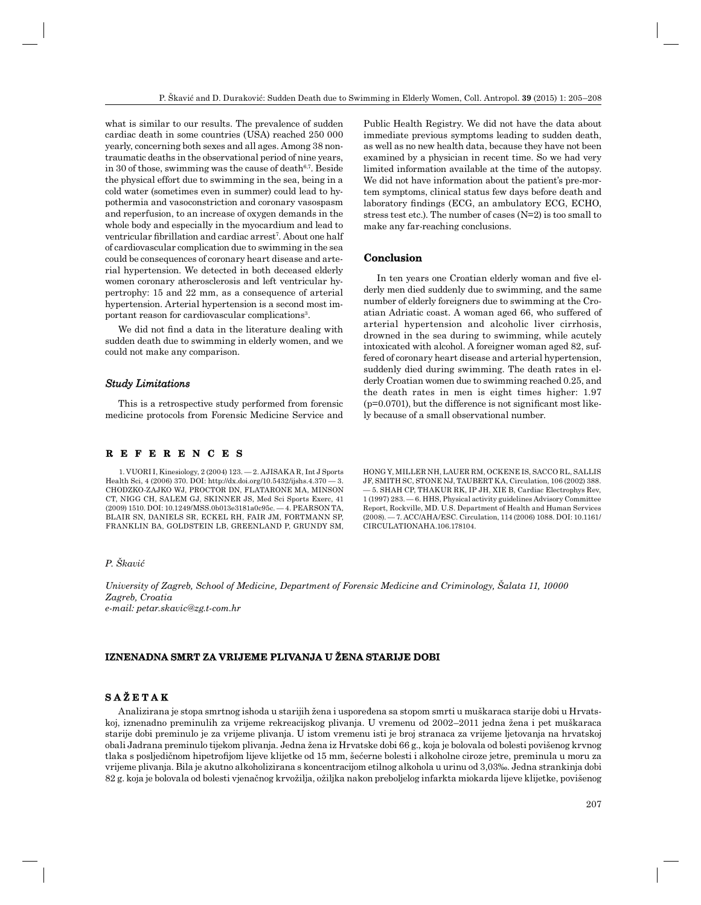what is similar to our results. The prevalence of sudden cardiac death in some countries (USA) reached 250 000 yearly, concerning both sexes and all ages. Among 38 nontraumatic deaths in the observational period of nine years, in 30 of those, swimming was the cause of death $6,7$ . Beside the physical effort due to swimming in the sea, being in a cold water (sometimes even in summer) could lead to hypothermia and vasoconstriction and coronary vasospasm and reperfusion, to an increase of oxygen demands in the whole body and especially in the myocardium and lead to ventricular fibrillation and cardiac arrest<sup>7</sup>. About one half of cardiovascular complication due to swimming in the sea could be consequences of coronary heart disease and arterial hypertension. We detected in both deceased elderly women coronary atherosclerosis and left ventricular hypertrophy: 15 and 22 mm, as a consequence of arterial hypertension. Arterial hypertension is a second most important reason for cardiovascular complications<sup>3</sup>.

We did not find a data in the literature dealing with sudden death due to swimming in elderly women, and we could not make any comparison.

#### *Study Limitations*

This is a retrospective study performed from forensic medicine protocols from Forensic Medicine Service and

# **R E F E R E N C E S R E F E R E N C E**

1. VUORI I, Kinesiology, 2 (2004) 123. — 2. AJISAKA R, Int J Sports Health Sci, 4 (2006) 370. DOI: http://dx.doi.org/10.5432/ijshs.4.370 — 3. CHODZKO-ZAJKO WJ, PROCTOR DN, FLATARONE MA, MINSON CT, NIGG CH, SALEM GJ, SKINNER JS, Med Sci Sports Exerc, 41 (2009) 1510. DOI: 10.1249/MSS.0b013e3181a0c95c. — 4. PEARSON TA, BLAIR SN, DANIELS SR, ECKEL RH, FAIR JM, FORTMANN SP, FRANKLIN BA, GOLDSTEIN LB, GREENLAND P, GRUNDY SM,

Public Health Registry. We did not have the data about immediate previous symptoms leading to sudden death, as well as no new health data, because they have not been examined by a physician in recent time. So we had very limited information available at the time of the autopsy. We did not have information about the patient's pre-mortem symptoms, clinical status few days before death and laboratory findings (ECG, an ambulatory ECG, ECHO, stress test etc.). The number of cases (N=2) is too small to make any far-reaching conclusions.

# **Conclusion**

In ten years one Croatian elderly woman and five elderly men died suddenly due to swimming, and the same number of elderly foreigners due to swimming at the Croatian Adriatic coast. A woman aged 66, who suffered of arterial hypertension and alcoholic liver cirrhosis, drowned in the sea during to swimming, while acutely intoxicated with alcohol. A foreigner woman aged 82, suffered of coronary heart disease and arterial hypertension, suddenly died during swimming. The death rates in elderly Croatian women due to swimming reached 0.25, and the death rates in men is eight times higher: 1.97  $(p=0.0701)$ , but the difference is not significant most likely because of a small observational number.

HONG Y, MILLER NH, LAUER RM, OCKENE IS, SACCO RL, SALLIS JF, SMITH SC, STONE NJ, TAUBERT KA, Circulation, 106 (2002) 388. — 5. SHAH CP, THAKUR RK, IP JH, XIE B, Cardiac Electrophys Rev, 1 (1997) 283. — 6. HHS, Physical activity guidelines Advisory Committee Report, Rockville, MD. U.S. Department of Health and Human Services (2008). — 7. ACC/AHA/ESC. Circulation, 114 (2006) 1088. DOI: 10.1161/ CIRCULATIONAHA.106.178104.

# *P. Škavić*

*University of Zagreb, School of Medicine, Department of Forensic Medicine and Criminology, Šalata 11, 10000 Zagreb, Croatia e-mail: petar.skavic@zg.t-com.hr*

# **IZNENADNA SMRT ZA VRIJEME PLIVANJA U ŽENA STARIJE DOBI**

# **S A Ž E T A K**

Analizirana je stopa smrtnog ishoda u starijih žena i uspoređena sa stopom smrti u muškaraca starije dobi u Hrvatskoj, iznenadno preminulih za vrijeme rekreacijskog plivanja. U vremenu od 2002–2011 jedna žena i pet muškaraca starije dobi preminulo je za vrijeme plivanja. U istom vremenu isti je broj stranaca za vrijeme ljetovanja na hrvatskoj obali Jadrana preminulo tijekom plivanja. Jedna žena iz Hrvatske dobi 66 g., koja je bolovala od bolesti povišenog krvnog tlaka s posljedičnom hipetrofijom lijeve klijetke od 15 mm, šećerne bolesti i alkoholne ciroze jetre, preminula u moru za vrijeme plivanja. Bila je akutno alkoholizirana s koncentracijom etilnog alkohola u urinu od 3,03‰. Jedna strankinja dobi 82 g. koja je bolovala od bolesti vjenačnog krvožilja, ožiljka nakon preboljelog infarkta miokarda lijeve klijetke, povišenog